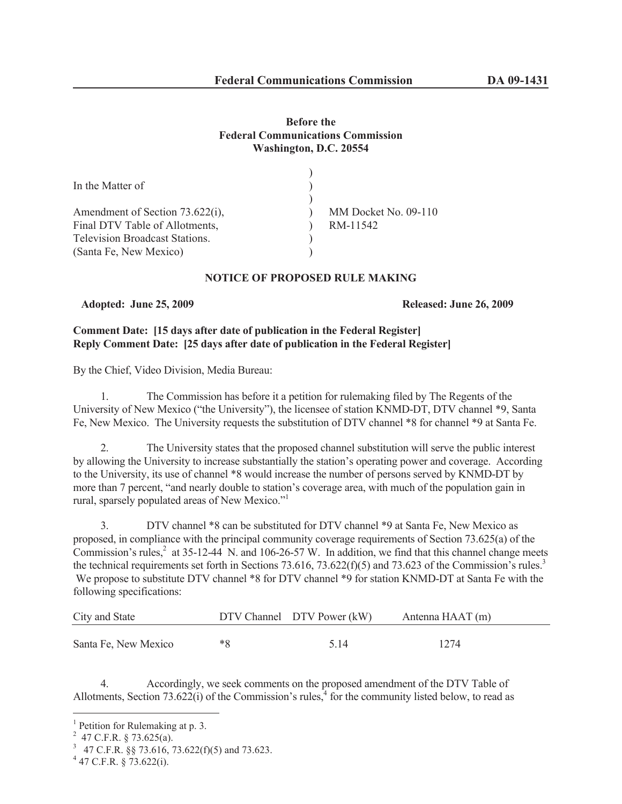## **Before the Federal Communications Commission Washington, D.C. 20554**

| In the Matter of                      |                      |
|---------------------------------------|----------------------|
|                                       |                      |
| Amendment of Section 73.622(i),       | MM Docket No. 09-110 |
| Final DTV Table of Allotments,        | RM-11542             |
| <b>Television Broadcast Stations.</b> |                      |
| (Santa Fe, New Mexico)                |                      |
|                                       |                      |

## **NOTICE OF PROPOSED RULE MAKING**

**Adopted: June 25, 2009 Released: June 26, 2009**

# **Comment Date: [15 days after date of publication in the Federal Register] Reply Comment Date: [25 days after date of publication in the Federal Register]**

By the Chief, Video Division, Media Bureau:

1. The Commission has before it a petition for rulemaking filed by The Regents of the University of New Mexico ("the University"), the licensee of station KNMD-DT, DTV channel \*9, Santa Fe, New Mexico. The University requests the substitution of DTV channel \*8 for channel \*9 at Santa Fe.

2. The University states that the proposed channel substitution will serve the public interest by allowing the University to increase substantially the station's operating power and coverage. According to the University, its use of channel \*8 would increase the number of persons served by KNMD-DT by more than 7 percent, "and nearly double to station's coverage area, with much of the population gain in rural, sparsely populated areas of New Mexico."<sup>1</sup>

3. DTV channel \*8 can be substituted for DTV channel \*9 at Santa Fe, New Mexico as proposed, in compliance with the principal community coverage requirements of Section 73.625(a) of the Commission's rules, $2$  at 35-12-44 N. and 106-26-57 W. In addition, we find that this channel change meets the technical requirements set forth in Sections 73.616, 73.622(f)(5) and 73.623 of the Commission's rules.<sup>3</sup> We propose to substitute DTV channel \*8 for DTV channel \*9 for station KNMD-DT at Santa Fe with the following specifications:

| City and State       |    | DTV Channel DTV Power (kW) | Antenna HAAT (m) |
|----------------------|----|----------------------------|------------------|
| Santa Fe, New Mexico | *R | 5 14                       | 1274             |

4. Accordingly, we seek comments on the proposed amendment of the DTV Table of Allotments, Section 73.622(i) of the Commission's rules, $4$  for the community listed below, to read as

<sup>&</sup>lt;sup>1</sup> Petition for Rulemaking at p. 3.

 $^{2}$  47 C.F.R. § 73.625(a).

<sup>3</sup> 47 C.F.R. §§ 73.616, 73.622(f)(5) and 73.623.

 $4$  47 C.F.R. § 73.622(i).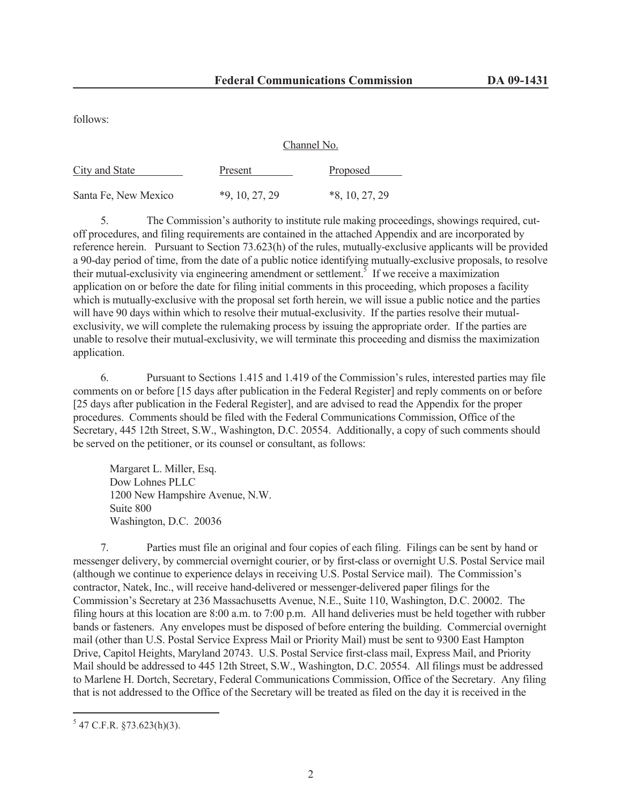Channel No.

follows:

|                      | CHAHILLE IVO.    |                  |  |
|----------------------|------------------|------------------|--|
| City and State       | Present          | Proposed         |  |
| Santa Fe, New Mexico | $*9, 10, 27, 29$ | $*8, 10, 27, 29$ |  |

5. The Commission's authority to institute rule making proceedings, showings required, cutoff procedures, and filing requirements are contained in the attached Appendix and are incorporated by reference herein. Pursuant to Section 73.623(h) of the rules, mutually-exclusive applicants will be provided a 90-day period of time, from the date of a public notice identifying mutually-exclusive proposals, to resolve their mutual-exclusivity via engineering amendment or settlement.<sup>5</sup> If we receive a maximization application on or before the date for filing initial comments in this proceeding, which proposes a facility which is mutually-exclusive with the proposal set forth herein, we will issue a public notice and the parties will have 90 days within which to resolve their mutual-exclusivity. If the parties resolve their mutualexclusivity, we will complete the rulemaking process by issuing the appropriate order. If the parties are unable to resolve their mutual-exclusivity, we will terminate this proceeding and dismiss the maximization application.

6. Pursuant to Sections 1.415 and 1.419 of the Commission's rules, interested parties may file comments on or before [15 days after publication in the Federal Register] and reply comments on or before [25 days after publication in the Federal Register], and are advised to read the Appendix for the proper procedures. Comments should be filed with the Federal Communications Commission, Office of the Secretary, 445 12th Street, S.W., Washington, D.C. 20554. Additionally, a copy of such comments should be served on the petitioner, or its counsel or consultant, as follows:

Margaret L. Miller, Esq. Dow Lohnes PLLC 1200 New Hampshire Avenue, N.W. Suite 800 Washington, D.C. 20036

7. Parties must file an original and four copies of each filing. Filings can be sent by hand or messenger delivery, by commercial overnight courier, or by first-class or overnight U.S. Postal Service mail (although we continue to experience delays in receiving U.S. Postal Service mail). The Commission's contractor, Natek, Inc., will receive hand-delivered or messenger-delivered paper filings for the Commission's Secretary at 236 Massachusetts Avenue, N.E., Suite 110, Washington, D.C. 20002. The filing hours at this location are 8:00 a.m. to 7:00 p.m. All hand deliveries must be held together with rubber bands or fasteners. Any envelopes must be disposed of before entering the building. Commercial overnight mail (other than U.S. Postal Service Express Mail or Priority Mail) must be sent to 9300 East Hampton Drive, Capitol Heights, Maryland 20743. U.S. Postal Service first-class mail, Express Mail, and Priority Mail should be addressed to 445 12th Street, S.W., Washington, D.C. 20554. All filings must be addressed to Marlene H. Dortch, Secretary, Federal Communications Commission, Office of the Secretary. Any filing that is not addressed to the Office of the Secretary will be treated as filed on the day it is received in the

 $5$  47 C.F.R. §73.623(h)(3).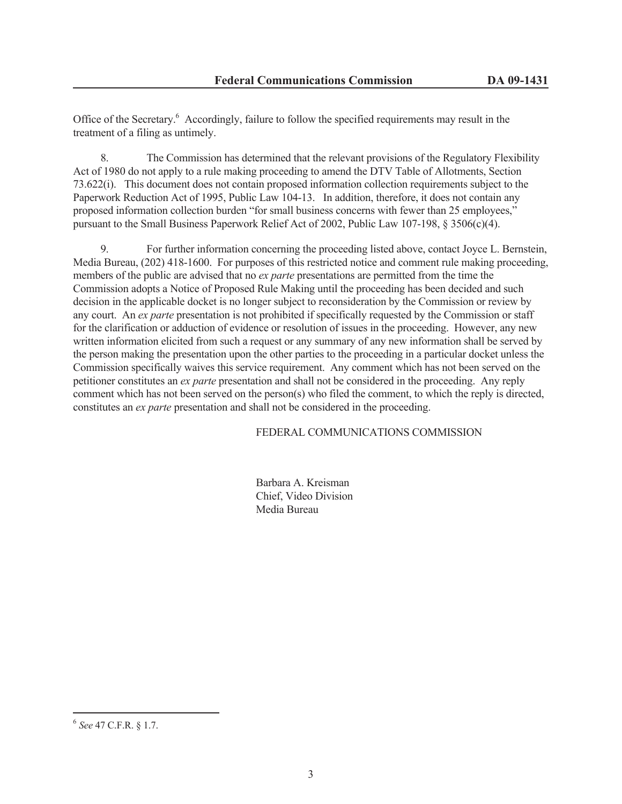Office of the Secretary.<sup>6</sup> Accordingly, failure to follow the specified requirements may result in the treatment of a filing as untimely.

8. The Commission has determined that the relevant provisions of the Regulatory Flexibility Act of 1980 do not apply to a rule making proceeding to amend the DTV Table of Allotments, Section 73.622(i). This document does not contain proposed information collection requirements subject to the Paperwork Reduction Act of 1995, Public Law 104-13. In addition, therefore, it does not contain any proposed information collection burden "for small business concerns with fewer than 25 employees," pursuant to the Small Business Paperwork Relief Act of 2002, Public Law 107-198, § 3506(c)(4).

9. For further information concerning the proceeding listed above, contact Joyce L. Bernstein, Media Bureau, (202) 418-1600. For purposes of this restricted notice and comment rule making proceeding, members of the public are advised that no *ex parte* presentations are permitted from the time the Commission adopts a Notice of Proposed Rule Making until the proceeding has been decided and such decision in the applicable docket is no longer subject to reconsideration by the Commission or review by any court. An *ex parte* presentation is not prohibited if specifically requested by the Commission or staff for the clarification or adduction of evidence or resolution of issues in the proceeding. However, any new written information elicited from such a request or any summary of any new information shall be served by the person making the presentation upon the other parties to the proceeding in a particular docket unless the Commission specifically waives this service requirement. Any comment which has not been served on the petitioner constitutes an *ex parte* presentation and shall not be considered in the proceeding. Any reply comment which has not been served on the person(s) who filed the comment, to which the reply is directed, constitutes an *ex parte* presentation and shall not be considered in the proceeding.

FEDERAL COMMUNICATIONS COMMISSION

Barbara A. Kreisman Chief, Video Division Media Bureau

<sup>6</sup> *See* 47 C.F.R. § 1.7.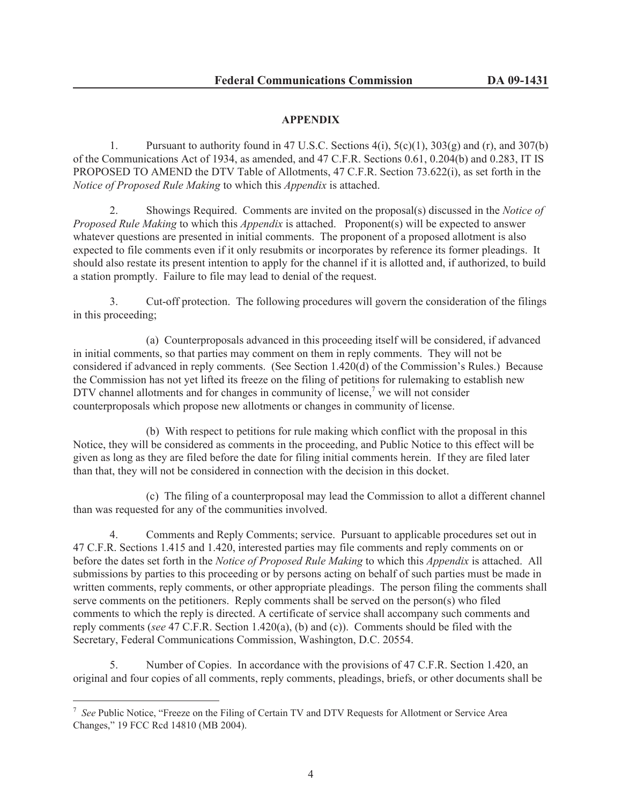## **APPENDIX**

1. Pursuant to authority found in 47 U.S.C. Sections  $4(i)$ ,  $5(c)(1)$ ,  $303(g)$  and  $(r)$ , and  $307(b)$ of the Communications Act of 1934, as amended, and 47 C.F.R. Sections 0.61, 0.204(b) and 0.283, IT IS PROPOSED TO AMEND the DTV Table of Allotments, 47 C.F.R. Section 73.622(i), as set forth in the *Notice of Proposed Rule Making* to which this *Appendix* is attached.

2. Showings Required. Comments are invited on the proposal(s) discussed in the *Notice of Proposed Rule Making* to which this *Appendix* is attached. Proponent(s) will be expected to answer whatever questions are presented in initial comments. The proponent of a proposed allotment is also expected to file comments even if it only resubmits or incorporates by reference its former pleadings. It should also restate its present intention to apply for the channel if it is allotted and, if authorized, to build a station promptly. Failure to file may lead to denial of the request.

3. Cut-off protection. The following procedures will govern the consideration of the filings in this proceeding;

(a) Counterproposals advanced in this proceeding itself will be considered, if advanced in initial comments, so that parties may comment on them in reply comments. They will not be considered if advanced in reply comments. (See Section 1.420(d) of the Commission's Rules.) Because the Commission has not yet lifted its freeze on the filing of petitions for rulemaking to establish new DTV channel allotments and for changes in community of license,<sup>7</sup> we will not consider counterproposals which propose new allotments or changes in community of license.

(b) With respect to petitions for rule making which conflict with the proposal in this Notice, they will be considered as comments in the proceeding, and Public Notice to this effect will be given as long as they are filed before the date for filing initial comments herein. If they are filed later than that, they will not be considered in connection with the decision in this docket.

(c) The filing of a counterproposal may lead the Commission to allot a different channel than was requested for any of the communities involved.

4. Comments and Reply Comments; service. Pursuant to applicable procedures set out in 47 C.F.R. Sections 1.415 and 1.420, interested parties may file comments and reply comments on or before the dates set forth in the *Notice of Proposed Rule Making* to which this *Appendix* is attached. All submissions by parties to this proceeding or by persons acting on behalf of such parties must be made in written comments, reply comments, or other appropriate pleadings. The person filing the comments shall serve comments on the petitioners. Reply comments shall be served on the person(s) who filed comments to which the reply is directed. A certificate of service shall accompany such comments and reply comments (*see* 47 C.F.R. Section 1.420(a), (b) and (c)). Comments should be filed with the Secretary, Federal Communications Commission, Washington, D.C. 20554.

5. Number of Copies. In accordance with the provisions of 47 C.F.R. Section 1.420, an original and four copies of all comments, reply comments, pleadings, briefs, or other documents shall be

<sup>&</sup>lt;sup>7</sup> See Public Notice, "Freeze on the Filing of Certain TV and DTV Requests for Allotment or Service Area Changes," 19 FCC Rcd 14810 (MB 2004).